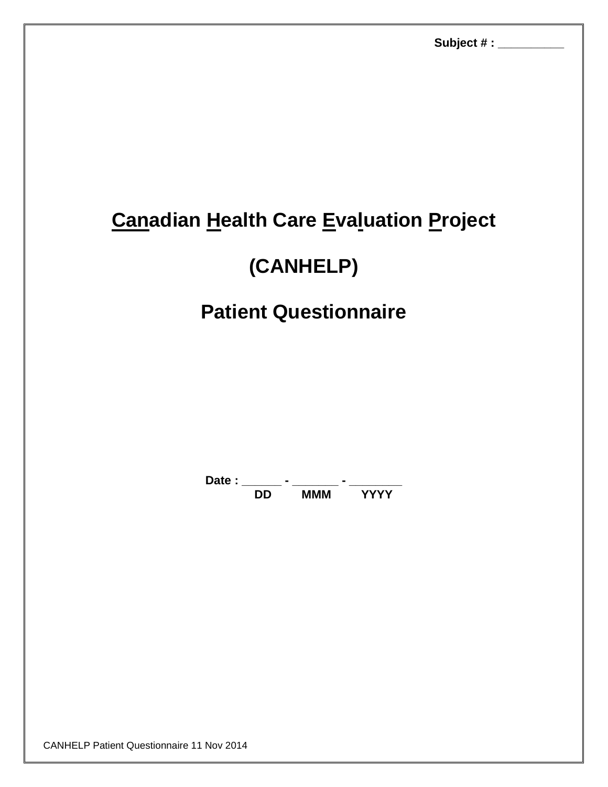**Subject # : \_\_\_\_\_\_\_\_\_\_**

## **Canadian Health Care Evaluation Project**

# **(CANHELP)**

### **Patient Questionnaire**

**Date : \_\_\_\_\_\_ - \_\_\_\_\_\_\_ - \_\_\_\_\_\_\_\_ DD MMM YYYY**

CANHELP Patient Questionnaire 11 Nov 2014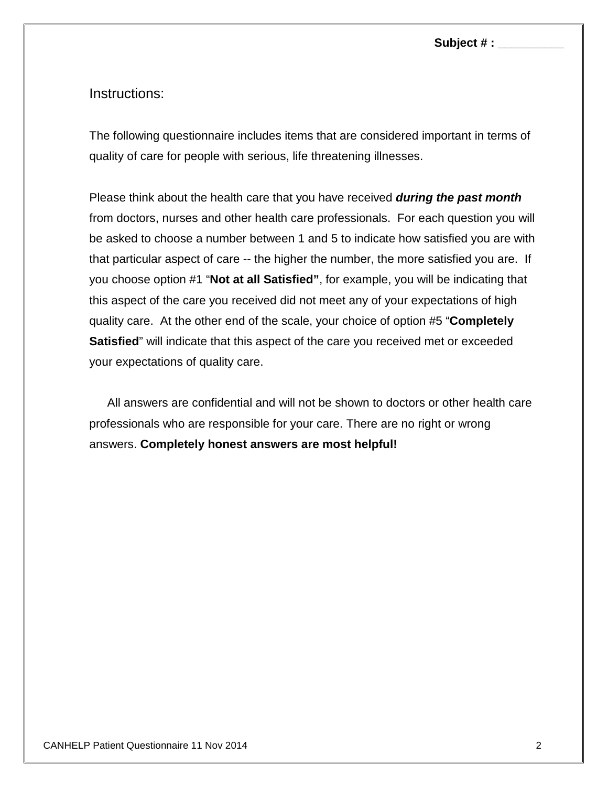**Subject # : \_\_\_\_\_\_\_\_\_\_**

Instructions:

The following questionnaire includes items that are considered important in terms of quality of care for people with serious, life threatening illnesses.

Please think about the health care that you have received *during the past month* from doctors, nurses and other health care professionals. For each question you will be asked to choose a number between 1 and 5 to indicate how satisfied you are with that particular aspect of care -- the higher the number, the more satisfied you are. If you choose option #1 "**Not at all Satisfied"**, for example, you will be indicating that this aspect of the care you received did not meet any of your expectations of high quality care. At the other end of the scale, your choice of option #5 "**Completely Satisfied**" will indicate that this aspect of the care you received met or exceeded your expectations of quality care.

All answers are confidential and will not be shown to doctors or other health care professionals who are responsible for your care. There are no right or wrong answers. **Completely honest answers are most helpful!**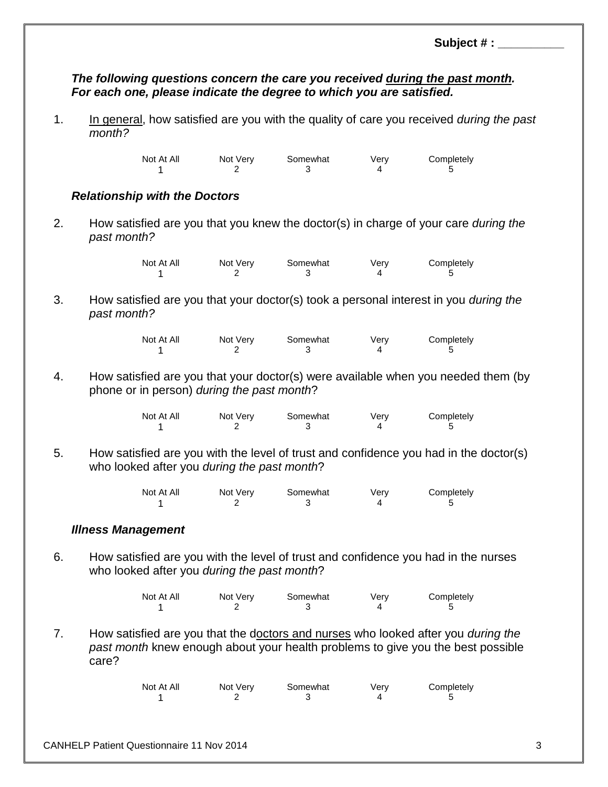| Subject #: |  |  |
|------------|--|--|
|            |  |  |

#### *The following questions concern the care you received during the past month . For each one, please indicate the degree to which you are satisfied.*

1. In general, how satisfied are you with the quality of care you received *during the past month?*

| Not At All | Not Very | Somewhat | Verv | Completely |
|------------|----------|----------|------|------------|
|            |          |          |      |            |

#### *Relationship with the Doctors*

2. How satisfied are you that you knew the doctor(s) in charge of your care *during the past month?*

| Not At All | Not Very | Somewhat | Verv | Completely |
|------------|----------|----------|------|------------|
|            |          |          |      |            |

3. How satisfied are you that your doctor(s) took a personal interest in you *during the past month?*

| Not At All | Not Very | Somewhat | Verv | Completely |
|------------|----------|----------|------|------------|
|            |          |          |      |            |

4. How satisfied are you that your doctor(s) were available when you needed them (by phone or in person) *during the past month*?

| Not At All | Not Very | Somewhat | Verv | Completely |
|------------|----------|----------|------|------------|
|            |          |          |      |            |

5. How satisfied are you with the level of trust and confidence you had in the doctor(s) who looked after you *during the past month*?

| Not At All | Not Very | Somewhat | Verv | Completely |
|------------|----------|----------|------|------------|
|            |          |          |      |            |

#### *Illness Management*

6. How satisfied are you with the level of trust and confidence you had in the nurses who looked after you *during the past month*?

| Not At All | Not Very | Somewhat | Very | Completely |
|------------|----------|----------|------|------------|
|            |          |          |      |            |

7. How satisfied are you that the doctors and nurses who looked after you *during the past month* knew enough about your health problems to give you the best possible care?

| Not At All | Not Very | Somewhat | Verv | Completely |
|------------|----------|----------|------|------------|
|            |          |          |      |            |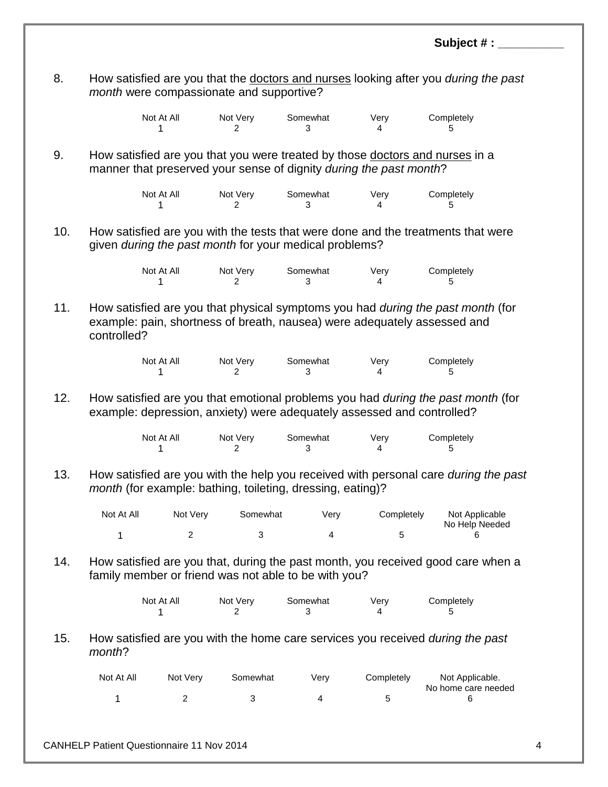**Subject # : \_\_\_\_\_\_\_\_\_\_** 8. How satisfied are you that the doctors and nurses looking after you *during the past month* were compassionate and supportive? Not At All Not Very Somewhat Very Completely 1 2 3 4 5 9. How satisfied are you that you were treated by those doctors and nurses in a manner that preserved your sense of dignity *during the past month*? Not At All **Not Very** Somewhat **Very** Completely 1 2 3 4 5 10. How satisfied are you with the tests that were done and the treatments that were given *during the past month* for your medical problems? Not At All Mot Very Somewhat Very Completely 1 2 3 4 5 11. How satisfied are you that physical symptoms you had *during the past month* (for example: pain, shortness of breath, nausea) were adequately assessed and controlled? Not At All Mot Very Somewhat Very Completely 1 2 3 4 5 12. How satisfied are you that emotional problems you had *during the past month* (for example: depression, anxiety) were adequately assessed and controlled? Not At All Mot Very Somewhat Very Completely 1 2 3 4 5 13. How satisfied are you with the help you received with personal care *during the past month* (for example: bathing, toileting, dressing, eating)? Not At All Not Very Somewhat Very Completely Not Applicable No Help Needed 1 2 3 4 5 6 14. How satisfied are you that, during the past month, you received good care when a family member or friend was not able to be with you?

| Not At All | Not Very | Somewhat | Verv | Completely |
|------------|----------|----------|------|------------|
|            |          |          |      |            |

15. How satisfied are you with the home care services you received *during the past month*?

| Not At All | Not Verv | Somewhat | Verv | Completely | Not Applicable.     |
|------------|----------|----------|------|------------|---------------------|
|            |          |          |      |            | No home care needed |
|            |          |          |      |            |                     |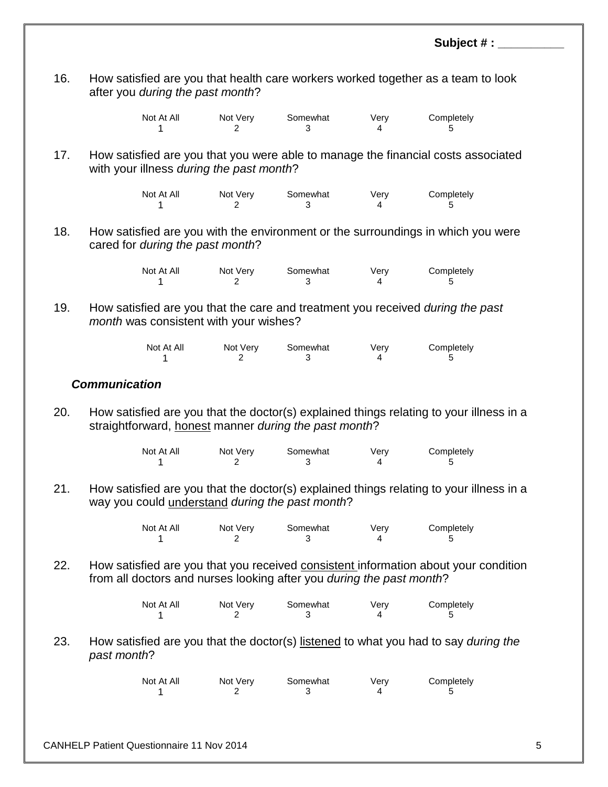|     |                                                                                                                                                             |                                                 |               |                                                       |           | Subject # :                                                                             |
|-----|-------------------------------------------------------------------------------------------------------------------------------------------------------------|-------------------------------------------------|---------------|-------------------------------------------------------|-----------|-----------------------------------------------------------------------------------------|
| 16. |                                                                                                                                                             | after you during the past month?                |               |                                                       |           | How satisfied are you that health care workers worked together as a team to look        |
|     |                                                                                                                                                             | Not At All<br>1                                 | Not Very<br>2 | Somewhat<br>3                                         | Very<br>4 | Completely<br>5                                                                         |
| 17. |                                                                                                                                                             | with your illness during the past month?        |               |                                                       |           | How satisfied are you that you were able to manage the financial costs associated       |
|     |                                                                                                                                                             | Not At All                                      | Not Very<br>2 | Somewhat<br>3                                         | Very<br>4 | Completely<br>5                                                                         |
| 18. |                                                                                                                                                             | cared for during the past month?                |               |                                                       |           | How satisfied are you with the environment or the surroundings in which you were        |
|     |                                                                                                                                                             | Not At All<br>1                                 | Not Very<br>2 | Somewhat<br>3                                         | Very<br>4 | Completely<br>5                                                                         |
| 19. |                                                                                                                                                             | month was consistent with your wishes?          |               |                                                       |           | How satisfied are you that the care and treatment you received during the past          |
|     |                                                                                                                                                             | Not At All<br>1                                 | Not Very<br>2 | Somewhat<br>3                                         | Very<br>4 | Completely<br>5                                                                         |
|     | <b>Communication</b>                                                                                                                                        |                                                 |               |                                                       |           |                                                                                         |
| 20. |                                                                                                                                                             |                                                 |               | straightforward, honest manner during the past month? |           | How satisfied are you that the doctor(s) explained things relating to your illness in a |
|     |                                                                                                                                                             | Not At All<br>1                                 | Not Very<br>2 | Somewhat<br>3                                         | Very<br>4 | Completely<br>5                                                                         |
| 21. |                                                                                                                                                             | way you could understand during the past month? |               |                                                       |           | How satisfied are you that the doctor(s) explained things relating to your illness in a |
|     |                                                                                                                                                             | Not At All<br>1                                 | Not Very<br>2 | Somewhat<br>3                                         | Very<br>4 | Completely<br>5                                                                         |
| 22. | How satisfied are you that you received consistent information about your condition<br>from all doctors and nurses looking after you during the past month? |                                                 |               |                                                       |           |                                                                                         |
|     |                                                                                                                                                             | Not At All                                      | Not Very<br>2 | Somewhat<br>3                                         | Very<br>4 | Completely<br>5                                                                         |
| 23. | past month?                                                                                                                                                 |                                                 |               |                                                       |           | How satisfied are you that the doctor(s) listened to what you had to say during the     |
|     |                                                                                                                                                             | Not At All                                      | Not Very<br>2 | Somewhat<br>3                                         | Very<br>4 | Completely<br>5                                                                         |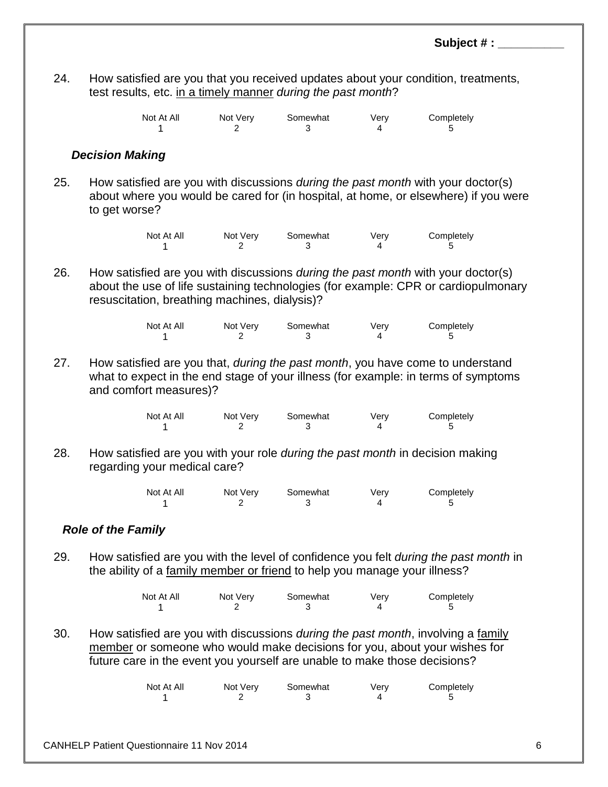24. How satisfied are you that you received updates about your condition, treatments, test results, etc. in a timely manner *during the past month*?

| Not At All | Not Very | Somewhat | Verv | Completely |
|------------|----------|----------|------|------------|
|            |          |          |      |            |

#### *Decision Making*

25. How satisfied are you with discussions *during the past month* with your doctor(s) about where you would be cared for (in hospital, at home, or elsewhere) if you were to get worse?

| Not At All | Not Very | Somewhat | Verv | Completely |
|------------|----------|----------|------|------------|
|            |          |          |      |            |

26. How satisfied are you with discussions *during the past month* with your doctor(s) about the use of life sustaining technologies (for example: CPR or cardiopulmonary resuscitation, breathing machines, dialysis)?

| Not At All | Not Very | Somewhat | Verv | Completely |
|------------|----------|----------|------|------------|
|            |          |          |      |            |

27. How satisfied are you that, *during the past month*, you have come to understand what to expect in the end stage of your illness (for example: in terms of symptoms and comfort measures)?

| Not At All | Not Very | Somewhat | Verv | Completely |
|------------|----------|----------|------|------------|
|            |          |          |      |            |

28. How satisfied are you with your role *during the past month* in decision making regarding your medical care?

| Not At All | Not Very | Somewhat | Verv | Completely |
|------------|----------|----------|------|------------|
|            |          |          |      |            |

#### *Role of the Family*

29. How satisfied are you with the level of confidence you felt *during the past month* in the ability of a family member or friend to help you manage your illness?

| Not At All<br>Not Very |  | Somewhat | Verv | Completely |  |
|------------------------|--|----------|------|------------|--|
|                        |  |          |      |            |  |

30. How satisfied are you with discussions *during the past month*, involving a family member or someone who would make decisions for you, about your wishes for future care in the event you yourself are unable to make those decisions?

| Not At All<br>Not Very |  | Somewhat | Verv | Completely |  |
|------------------------|--|----------|------|------------|--|
|                        |  |          |      |            |  |